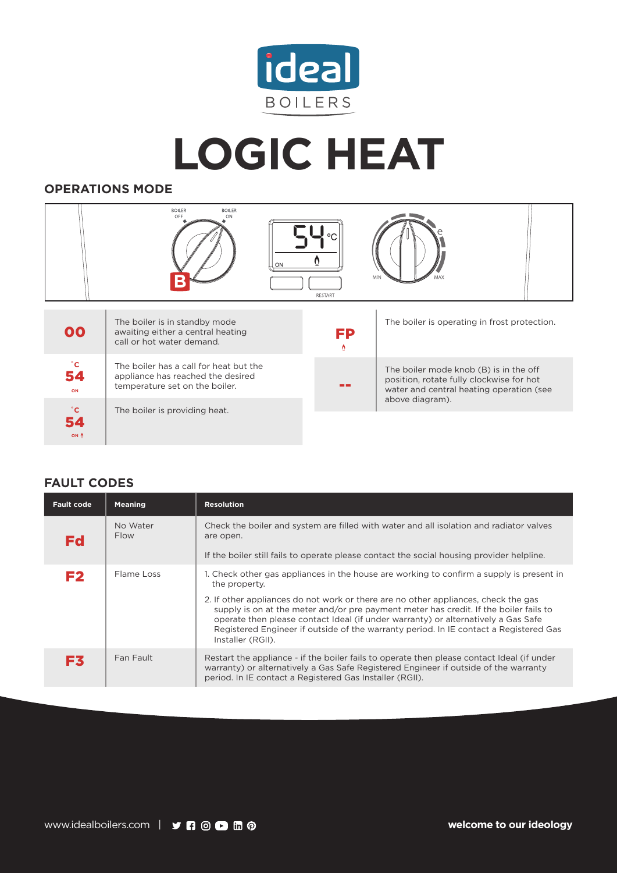

**LOGIC HEAT**

## **OPERATIONS MODE**

|                          | <b>BOILER</b><br><b>BOILER</b><br>OFF<br>ON<br>ON                                                             | $\circ$<br>RESTART |                                                                                                                                |  |
|--------------------------|---------------------------------------------------------------------------------------------------------------|--------------------|--------------------------------------------------------------------------------------------------------------------------------|--|
| 00                       | The boiler is in standby mode<br>awaiting either a central heating<br>call or hot water demand.               | FP<br>Ō.           | The boiler is operating in frost protection.                                                                                   |  |
| $^{\circ}$ C<br>54<br>ON | The boiler has a call for heat but the<br>appliance has reached the desired<br>temperature set on the boiler. | - -                | The boiler mode knob (B) is in the off<br>position, rotate fully clockwise for hot<br>water and central heating operation (see |  |
| $^{\circ}$ C             | The boiler is providing heat.                                                                                 |                    | above diagram).                                                                                                                |  |

## **FAULT CODES**

**ON**

| <b>Fault code</b> | <b>Meaning</b>          | <b>Resolution</b>                                                                                                                                                                                                                                                                                                                                                                                                                                                                           |
|-------------------|-------------------------|---------------------------------------------------------------------------------------------------------------------------------------------------------------------------------------------------------------------------------------------------------------------------------------------------------------------------------------------------------------------------------------------------------------------------------------------------------------------------------------------|
| <b>Fd</b>         | No Water<br><b>Flow</b> | Check the boiler and system are filled with water and all isolation and radiator valves<br>are open.<br>If the boiler still fails to operate please contact the social housing provider helpline.                                                                                                                                                                                                                                                                                           |
| F <sub>2</sub>    | Flame Loss              | 1. Check other gas appliances in the house are working to confirm a supply is present in<br>the property.<br>2. If other appliances do not work or there are no other appliances, check the gas<br>supply is on at the meter and/or pre payment meter has credit. If the boiler fails to<br>operate then please contact Ideal (if under warranty) or alternatively a Gas Safe<br>Registered Engineer if outside of the warranty period. In IE contact a Registered Gas<br>Installer (RGII). |
| F3                | Fan Fault               | Restart the appliance - if the boiler fails to operate then please contact Ideal (if under<br>warranty) or alternatively a Gas Safe Registered Engineer if outside of the warranty<br>period. In IE contact a Registered Gas Installer (RGII).                                                                                                                                                                                                                                              |